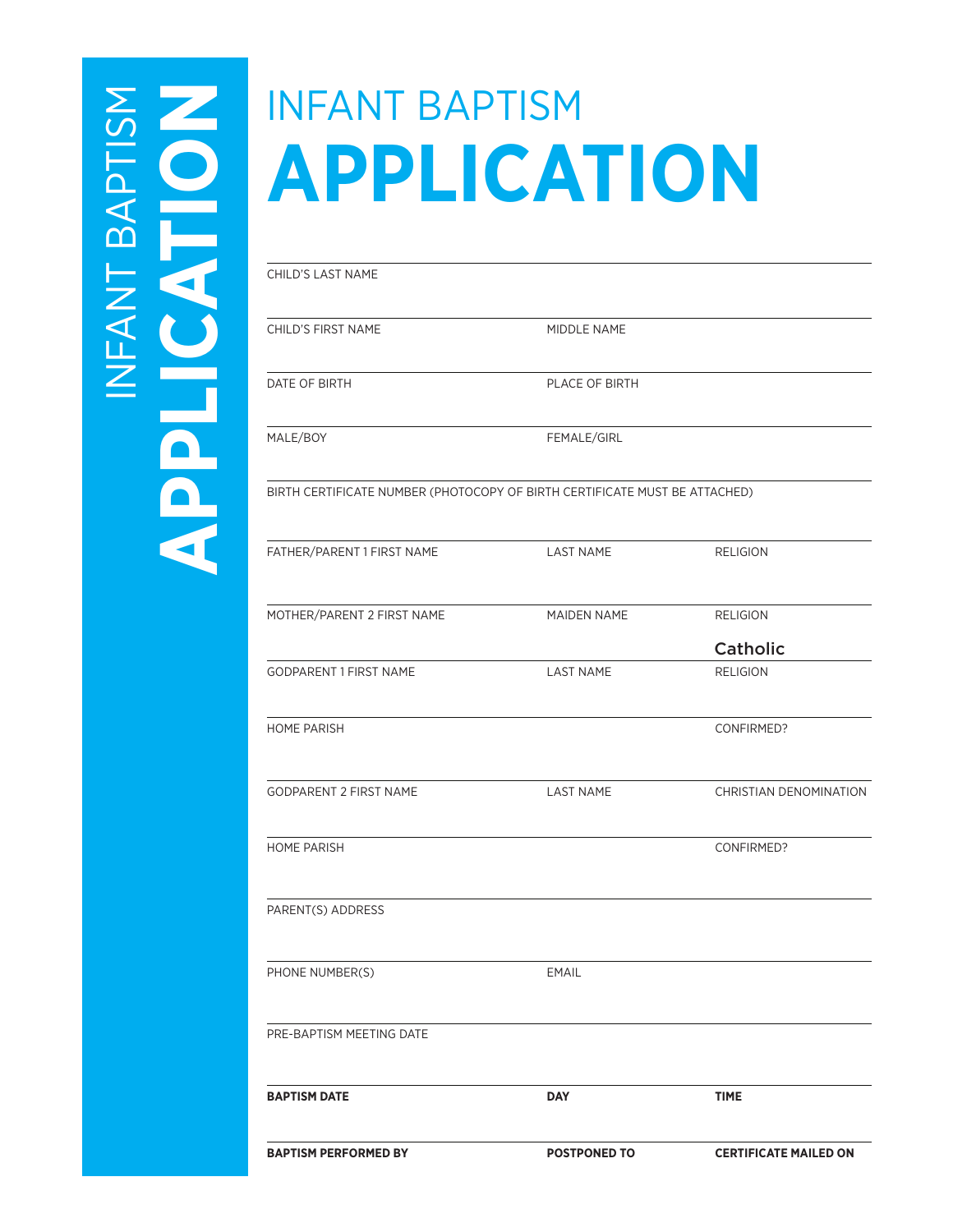# $\sum_{i=1}^{n}$ INFANT BAPTISM FANT BAP

## INFANT BAPTISM **APPLICATION**

**APPLICATE CHILD'S LAST NAME**<br>
CHILD'S FIRST NAME<br>
DATE OF BIRTH<br>
MALE/BOY<br>
BIRTH CERTIFICATE CHILD'S FIRST NAME MIDDLE NAME DATE OF BIRTH PLACE OF BIRTH MALE/BOY FEMALE/GIRL BIRTH CERTIFICATE NUMBER (PHOTOCOPY OF BIRTH CERTIFICATE MUST BE ATTACHED) FATHER/PARENT 1 FIRST NAME LAST NAME LAST NAME RELIGION MOTHER/PARENT 2 FIRST NAME MAIDEN NAME RELIGION GODPARENT 1 FIRST NAME LAST NAME LAST NAME RELIGION Catholic HOME PARISH CONFIRMED? GODPARENT 2 FIRST NAME LAST NAME CHRISTIAN DENOMINATION HOME PARISH CONFIRMED? PARENT(S) ADDRESS PHONE NUMBER(S) EMAIL PRE-BAPTISM MEETING DATE **BAPTISM DATE** DAY DAY TIME

**BAPTISM PERFORMED BY POSTPONED TO CERTIFICATE MAILED ON**